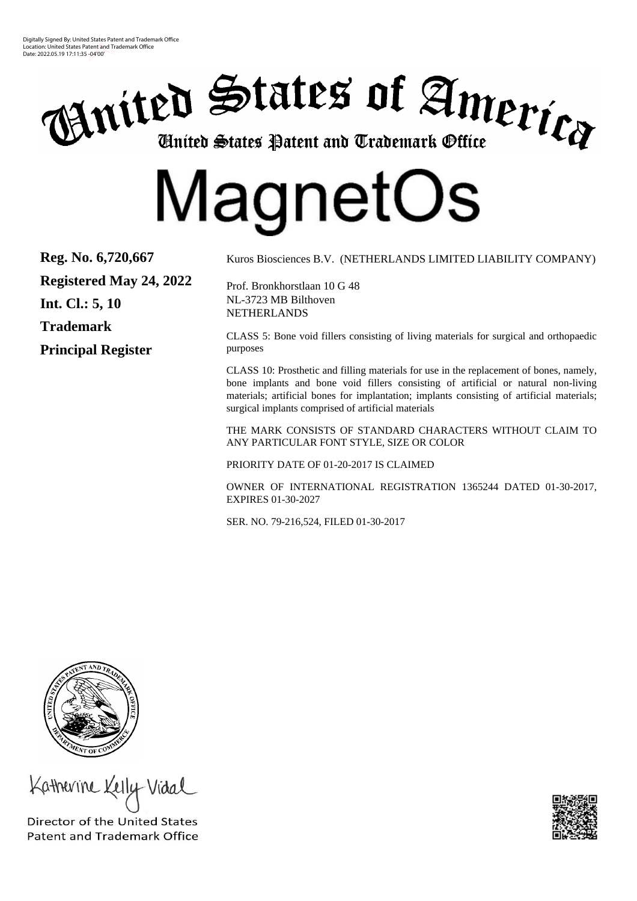Digitally Signed By: United States Patent and Trademark Office Location: United States Patent and Trademark Office Date: 2022.05.19 17:11:35 -04'00'



# MagnetOs

**Reg. No. 6,720,667 Registered May 24, 2022 Int. Cl.: 5, 10 Trademark Principal Register**

Kuros Biosciences B.V. (NETHERLANDS LIMITED LIABILITY COMPANY)

Prof. Bronkhorstlaan 10 G 48 NL-3723 MB Bilthoven NETHERLANDS

CLASS 5: Bone void fillers consisting of living materials for surgical and orthopaedic purposes

CLASS 10: Prosthetic and filling materials for use in the replacement of bones, namely, bone implants and bone void fillers consisting of artificial or natural non-living materials; artificial bones for implantation; implants consisting of artificial materials; surgical implants comprised of artificial materials

THE MARK CONSISTS OF STANDARD CHARACTERS WITHOUT CLAIM TO ANY PARTICULAR FONT STYLE, SIZE OR COLOR

PRIORITY DATE OF 01-20-2017 IS CLAIMED

OWNER OF INTERNATIONAL REGISTRATION 1365244 DATED 01-30-2017, EXPIRES 01-30-2027

SER. NO. 79-216,524, FILED 01-30-2017



Katherine Kelly

Director of the United States **Patent and Trademark Office**